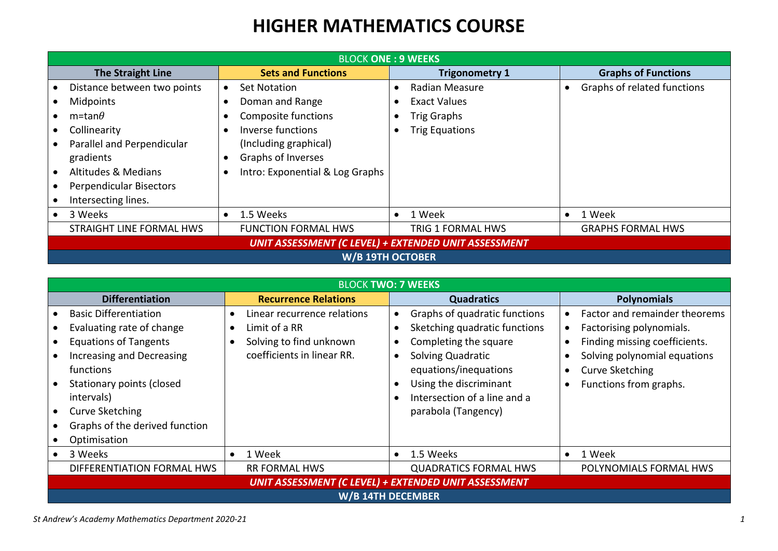## **HIGHER MATHEMATICS COURSE**

| <b>BLOCK ONE: 9 WEEKS</b>                                   |                                  |                       |                             |  |
|-------------------------------------------------------------|----------------------------------|-----------------------|-----------------------------|--|
| <b>The Straight Line</b>                                    | <b>Sets and Functions</b>        | <b>Trigonometry 1</b> | <b>Graphs of Functions</b>  |  |
| Distance between two points                                 | Set Notation<br>$\bullet$        | Radian Measure        | Graphs of related functions |  |
| Midpoints                                                   | Doman and Range<br>$\bullet$     | <b>Exact Values</b>   |                             |  |
| $m$ =tan $\theta$                                           | Composite functions<br>$\bullet$ | <b>Trig Graphs</b>    |                             |  |
| Collinearity                                                | Inverse functions<br>$\bullet$   | <b>Trig Equations</b> |                             |  |
| Parallel and Perpendicular                                  | (Including graphical)            |                       |                             |  |
| gradients                                                   | Graphs of Inverses               |                       |                             |  |
| <b>Altitudes &amp; Medians</b>                              | Intro: Exponential & Log Graphs  |                       |                             |  |
| Perpendicular Bisectors                                     |                                  |                       |                             |  |
| Intersecting lines.                                         |                                  |                       |                             |  |
| 3 Weeks                                                     | 1.5 Weeks<br>$\bullet$           | 1 Week                | 1 Week                      |  |
| <b>STRAIGHT LINE FORMAL HWS</b>                             | <b>FUNCTION FORMAL HWS</b>       | TRIG 1 FORMAL HWS     | <b>GRAPHS FORMAL HWS</b>    |  |
| <b>UNIT ASSESSMENT (C LEVEL) + EXTENDED UNIT ASSESSMENT</b> |                                  |                       |                             |  |
| W/B 19TH OCTOBER                                            |                                  |                       |                             |  |

| <b>BLOCK TWO: 7 WEEKS</b>                                                                                                        |                                                                                                       |           |                                                                                                              |           |                                                                                                                            |
|----------------------------------------------------------------------------------------------------------------------------------|-------------------------------------------------------------------------------------------------------|-----------|--------------------------------------------------------------------------------------------------------------|-----------|----------------------------------------------------------------------------------------------------------------------------|
| <b>Differentiation</b>                                                                                                           | <b>Recurrence Relations</b>                                                                           |           | <b>Quadratics</b>                                                                                            |           | <b>Polynomials</b>                                                                                                         |
| <b>Basic Differentiation</b><br>Evaluating rate of change<br><b>Equations of Tangents</b><br>Increasing and Decreasing           | Linear recurrence relations<br>Limit of a RR<br>Solving to find unknown<br>coefficients in linear RR. | $\bullet$ | Graphs of quadratic functions<br>Sketching quadratic functions<br>Completing the square<br>Solving Quadratic |           | Factor and remainder theorems<br>Factorising polynomials.<br>Finding missing coefficients.<br>Solving polynomial equations |
| functions<br>Stationary points (closed<br>intervals)<br><b>Curve Sketching</b><br>Graphs of the derived function<br>Optimisation |                                                                                                       |           | equations/inequations<br>Using the discriminant<br>Intersection of a line and a<br>parabola (Tangency)       |           | <b>Curve Sketching</b><br>Functions from graphs.                                                                           |
| 3 Weeks                                                                                                                          | 1 Week                                                                                                | $\bullet$ | 1.5 Weeks                                                                                                    | $\bullet$ | 1 Week                                                                                                                     |
| DIFFERENTIATION FORMAL HWS                                                                                                       | <b>RR FORMAL HWS</b>                                                                                  |           | <b>QUADRATICS FORMAL HWS</b>                                                                                 |           | POLYNOMIALS FORMAL HWS                                                                                                     |
| <b>UNIT ASSESSMENT (C LEVEL) + EXTENDED UNIT ASSESSMENT</b>                                                                      |                                                                                                       |           |                                                                                                              |           |                                                                                                                            |
| W/B 14TH DECEMBER                                                                                                                |                                                                                                       |           |                                                                                                              |           |                                                                                                                            |